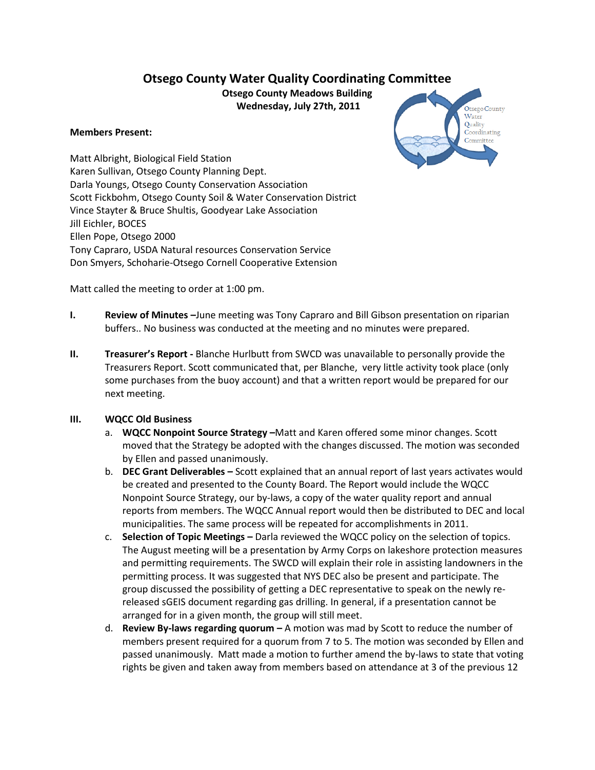# **Otsego County Water Quality Coordinating Committee**

**Otsego County Meadows Building Wednesday, July 27th, 2011**

#### **Members Present:**



Matt Albright, Biological Field Station Karen Sullivan, Otsego County Planning Dept. Darla Youngs, Otsego County Conservation Association Scott Fickbohm, Otsego County Soil & Water Conservation District Vince Stayter & Bruce Shultis, Goodyear Lake Association Jill Eichler, BOCES Ellen Pope, Otsego 2000 Tony Capraro, USDA Natural resources Conservation Service Don Smyers, Schoharie-Otsego Cornell Cooperative Extension

Matt called the meeting to order at 1:00 pm.

- **I. Review of Minutes –**June meeting was Tony Capraro and Bill Gibson presentation on riparian buffers.. No business was conducted at the meeting and no minutes were prepared.
- **II. Treasurer's Report -** Blanche Hurlbutt from SWCD was unavailable to personally provide the Treasurers Report. Scott communicated that, per Blanche, very little activity took place (only some purchases from the buoy account) and that a written report would be prepared for our next meeting.

### **III. WQCC Old Business**

- a. **WQCC Nonpoint Source Strategy –**Matt and Karen offered some minor changes. Scott moved that the Strategy be adopted with the changes discussed. The motion was seconded by Ellen and passed unanimously.
- b. **DEC Grant Deliverables –** Scott explained that an annual report of last years activates would be created and presented to the County Board. The Report would include the WQCC Nonpoint Source Strategy, our by-laws, a copy of the water quality report and annual reports from members. The WQCC Annual report would then be distributed to DEC and local municipalities. The same process will be repeated for accomplishments in 2011.
- c. **Selection of Topic Meetings –** Darla reviewed the WQCC policy on the selection of topics. The August meeting will be a presentation by Army Corps on lakeshore protection measures and permitting requirements. The SWCD will explain their role in assisting landowners in the permitting process. It was suggested that NYS DEC also be present and participate. The group discussed the possibility of getting a DEC representative to speak on the newly rereleased sGEIS document regarding gas drilling. In general, if a presentation cannot be arranged for in a given month, the group will still meet.
- d. **Review By-laws regarding quorum –** A motion was mad by Scott to reduce the number of members present required for a quorum from 7 to 5. The motion was seconded by Ellen and passed unanimously. Matt made a motion to further amend the by-laws to state that voting rights be given and taken away from members based on attendance at 3 of the previous 12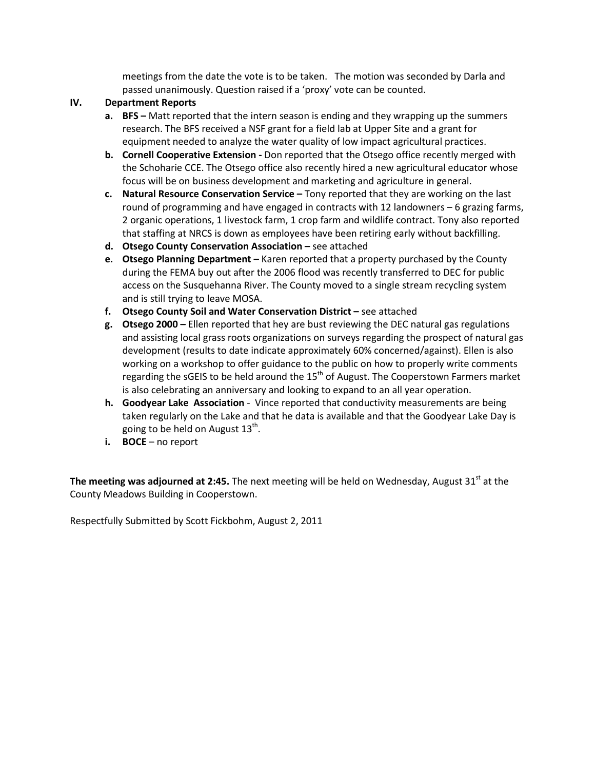meetings from the date the vote is to be taken. The motion was seconded by Darla and passed unanimously. Question raised if a 'proxy' vote can be counted.

### **IV. Department Reports**

- **a. BFS –** Matt reported that the intern season is ending and they wrapping up the summers research. The BFS received a NSF grant for a field lab at Upper Site and a grant for equipment needed to analyze the water quality of low impact agricultural practices.
- **b. Cornell Cooperative Extension -** Don reported that the Otsego office recently merged with the Schoharie CCE. The Otsego office also recently hired a new agricultural educator whose focus will be on business development and marketing and agriculture in general.
- **c. Natural Resource Conservation Service –** Tony reported that they are working on the last round of programming and have engaged in contracts with 12 landowners – 6 grazing farms, 2 organic operations, 1 livestock farm, 1 crop farm and wildlife contract. Tony also reported that staffing at NRCS is down as employees have been retiring early without backfilling.
- **d. Otsego County Conservation Association –** see attached
- **e. Otsego Planning Department –** Karen reported that a property purchased by the County during the FEMA buy out after the 2006 flood was recently transferred to DEC for public access on the Susquehanna River. The County moved to a single stream recycling system and is still trying to leave MOSA.
- **f. Otsego County Soil and Water Conservation District –** see attached
- **g. Otsego 2000 –** Ellen reported that hey are bust reviewing the DEC natural gas regulations and assisting local grass roots organizations on surveys regarding the prospect of natural gas development (results to date indicate approximately 60% concerned/against). Ellen is also working on a workshop to offer guidance to the public on how to properly write comments regarding the sGEIS to be held around the  $15<sup>th</sup>$  of August. The Cooperstown Farmers market is also celebrating an anniversary and looking to expand to an all year operation.
- **h. Goodyear Lake Association**  Vince reported that conductivity measurements are being taken regularly on the Lake and that he data is available and that the Goodyear Lake Day is going to be held on August  $13<sup>th</sup>$ .
- **i. BOCE** no report

The meeting was adjourned at 2:45. The next meeting will be held on Wednesday, August 31<sup>st</sup> at the County Meadows Building in Cooperstown.

Respectfully Submitted by Scott Fickbohm, August 2, 2011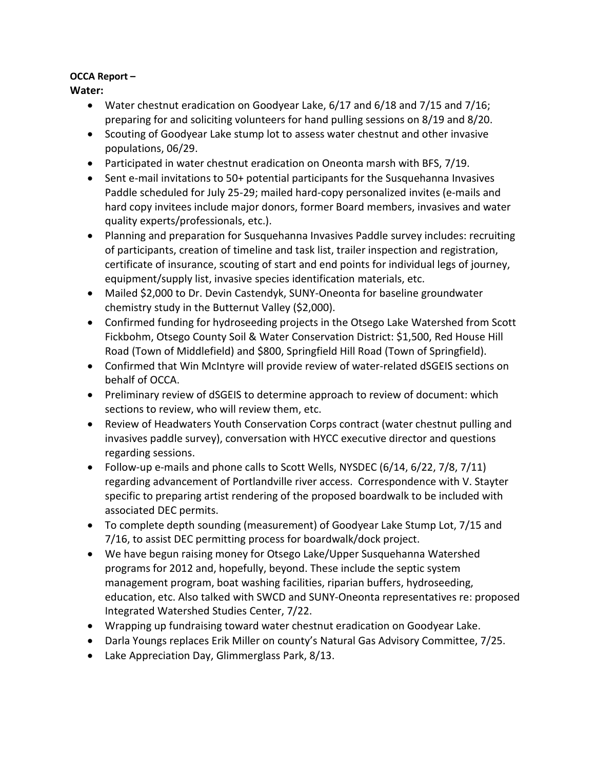# **OCCA Report –**

**Water:**

- Water chestnut eradication on Goodyear Lake, 6/17 and 6/18 and 7/15 and 7/16; preparing for and soliciting volunteers for hand pulling sessions on 8/19 and 8/20.
- Scouting of Goodyear Lake stump lot to assess water chestnut and other invasive populations, 06/29.
- Participated in water chestnut eradication on Oneonta marsh with BFS, 7/19.
- Sent e-mail invitations to 50+ potential participants for the Susquehanna Invasives Paddle scheduled for July 25-29; mailed hard-copy personalized invites (e-mails and hard copy invitees include major donors, former Board members, invasives and water quality experts/professionals, etc.).
- Planning and preparation for Susquehanna Invasives Paddle survey includes: recruiting of participants, creation of timeline and task list, trailer inspection and registration, certificate of insurance, scouting of start and end points for individual legs of journey, equipment/supply list, invasive species identification materials, etc.
- Mailed \$2,000 to Dr. Devin Castendyk, SUNY-Oneonta for baseline groundwater chemistry study in the Butternut Valley (\$2,000).
- Confirmed funding for hydroseeding projects in the Otsego Lake Watershed from Scott Fickbohm, Otsego County Soil & Water Conservation District: \$1,500, Red House Hill Road (Town of Middlefield) and \$800, Springfield Hill Road (Town of Springfield).
- Confirmed that Win McIntyre will provide review of water-related dSGEIS sections on behalf of OCCA.
- Preliminary review of dSGEIS to determine approach to review of document: which sections to review, who will review them, etc.
- Review of Headwaters Youth Conservation Corps contract (water chestnut pulling and invasives paddle survey), conversation with HYCC executive director and questions regarding sessions.
- Follow-up e-mails and phone calls to Scott Wells, NYSDEC (6/14, 6/22, 7/8, 7/11) regarding advancement of Portlandville river access. Correspondence with V. Stayter specific to preparing artist rendering of the proposed boardwalk to be included with associated DEC permits.
- To complete depth sounding (measurement) of Goodyear Lake Stump Lot, 7/15 and 7/16, to assist DEC permitting process for boardwalk/dock project.
- We have begun raising money for Otsego Lake/Upper Susquehanna Watershed programs for 2012 and, hopefully, beyond. These include the septic system management program, boat washing facilities, riparian buffers, hydroseeding, education, etc. Also talked with SWCD and SUNY-Oneonta representatives re: proposed Integrated Watershed Studies Center, 7/22.
- Wrapping up fundraising toward water chestnut eradication on Goodyear Lake.
- Darla Youngs replaces Erik Miller on county's Natural Gas Advisory Committee, 7/25.
- Lake Appreciation Day, Glimmerglass Park, 8/13.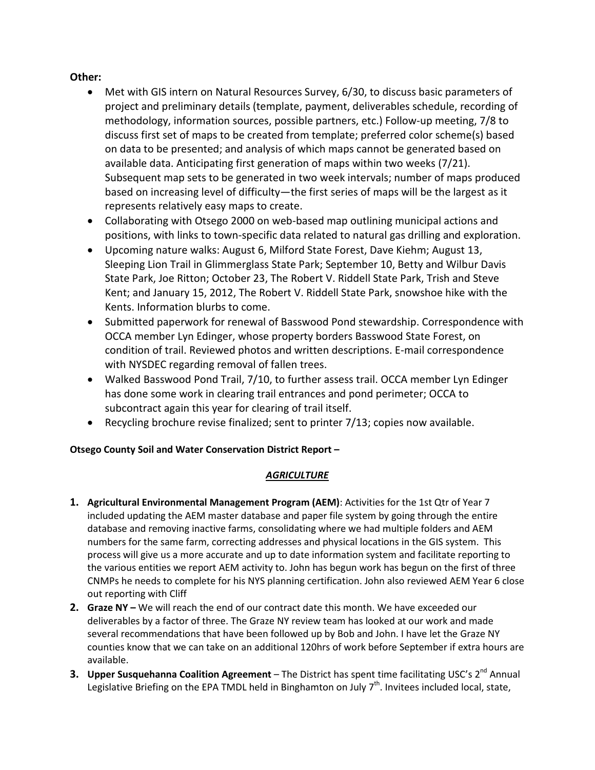### **Other:**

- Met with GIS intern on Natural Resources Survey, 6/30, to discuss basic parameters of project and preliminary details (template, payment, deliverables schedule, recording of methodology, information sources, possible partners, etc.) Follow-up meeting, 7/8 to discuss first set of maps to be created from template; preferred color scheme(s) based on data to be presented; and analysis of which maps cannot be generated based on available data. Anticipating first generation of maps within two weeks (7/21). Subsequent map sets to be generated in two week intervals; number of maps produced based on increasing level of difficulty—the first series of maps will be the largest as it represents relatively easy maps to create.
- Collaborating with Otsego 2000 on web-based map outlining municipal actions and positions, with links to town-specific data related to natural gas drilling and exploration.
- Upcoming nature walks: August 6, Milford State Forest, Dave Kiehm; August 13, Sleeping Lion Trail in Glimmerglass State Park; September 10, Betty and Wilbur Davis State Park, Joe Ritton; October 23, The Robert V. Riddell State Park, Trish and Steve Kent; and January 15, 2012, The Robert V. Riddell State Park, snowshoe hike with the Kents. Information blurbs to come.
- Submitted paperwork for renewal of Basswood Pond stewardship. Correspondence with OCCA member Lyn Edinger, whose property borders Basswood State Forest, on condition of trail. Reviewed photos and written descriptions. E-mail correspondence with NYSDEC regarding removal of fallen trees.
- Walked Basswood Pond Trail, 7/10, to further assess trail. OCCA member Lyn Edinger has done some work in clearing trail entrances and pond perimeter; OCCA to subcontract again this year for clearing of trail itself.
- Recycling brochure revise finalized; sent to printer 7/13; copies now available.

# **Otsego County Soil and Water Conservation District Report –**

### *AGRICULTURE*

- **1. Agricultural Environmental Management Program (AEM)**: Activities for the 1st Qtr of Year 7 included updating the AEM master database and paper file system by going through the entire database and removing inactive farms, consolidating where we had multiple folders and AEM numbers for the same farm, correcting addresses and physical locations in the GIS system. This process will give us a more accurate and up to date information system and facilitate reporting to the various entities we report AEM activity to. John has begun work has begun on the first of three CNMPs he needs to complete for his NYS planning certification. John also reviewed AEM Year 6 close out reporting with Cliff
- **2. Graze NY –** We will reach the end of our contract date this month. We have exceeded our deliverables by a factor of three. The Graze NY review team has looked at our work and made several recommendations that have been followed up by Bob and John. I have let the Graze NY counties know that we can take on an additional 120hrs of work before September if extra hours are available.
- **3. Upper Susquehanna Coalition Agreement** The District has spent time facilitating USC's 2<sup>nd</sup> Annual Legislative Briefing on the EPA TMDL held in Binghamton on July  $7<sup>th</sup>$ . Invitees included local, state,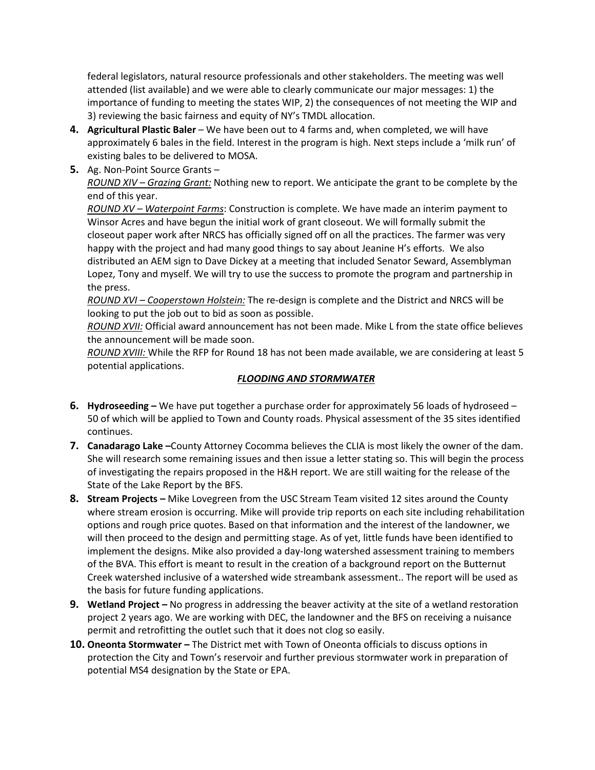federal legislators, natural resource professionals and other stakeholders. The meeting was well attended (list available) and we were able to clearly communicate our major messages: 1) the importance of funding to meeting the states WIP, 2) the consequences of not meeting the WIP and 3) reviewing the basic fairness and equity of NY's TMDL allocation.

- **4. Agricultural Plastic Baler** We have been out to 4 farms and, when completed, we will have approximately 6 bales in the field. Interest in the program is high. Next steps include a 'milk run' of existing bales to be delivered to MOSA.
- **5.** Ag. Non-Point Source Grants –

*ROUND XIV – Grazing Grant:* Nothing new to report. We anticipate the grant to be complete by the end of this year.

*ROUND XV – Waterpoint Farms*: Construction is complete. We have made an interim payment to Winsor Acres and have begun the initial work of grant closeout. We will formally submit the closeout paper work after NRCS has officially signed off on all the practices. The farmer was very happy with the project and had many good things to say about Jeanine H's efforts. We also distributed an AEM sign to Dave Dickey at a meeting that included Senator Seward, Assemblyman Lopez, Tony and myself. We will try to use the success to promote the program and partnership in the press.

*ROUND XVI – Cooperstown Holstein:* The re-design is complete and the District and NRCS will be looking to put the job out to bid as soon as possible.

*ROUND XVII:* Official award announcement has not been made. Mike L from the state office believes the announcement will be made soon.

*ROUND XVIII:* While the RFP for Round 18 has not been made available, we are considering at least 5 potential applications.

### *FLOODING AND STORMWATER*

- **6. Hydroseeding –** We have put together a purchase order for approximately 56 loads of hydroseed 50 of which will be applied to Town and County roads. Physical assessment of the 35 sites identified continues.
- **7. Canadarago Lake –**County Attorney Cocomma believes the CLIA is most likely the owner of the dam. She will research some remaining issues and then issue a letter stating so. This will begin the process of investigating the repairs proposed in the H&H report. We are still waiting for the release of the State of the Lake Report by the BFS.
- **8. Stream Projects –** Mike Lovegreen from the USC Stream Team visited 12 sites around the County where stream erosion is occurring. Mike will provide trip reports on each site including rehabilitation options and rough price quotes. Based on that information and the interest of the landowner, we will then proceed to the design and permitting stage. As of yet, little funds have been identified to implement the designs. Mike also provided a day-long watershed assessment training to members of the BVA. This effort is meant to result in the creation of a background report on the Butternut Creek watershed inclusive of a watershed wide streambank assessment.. The report will be used as the basis for future funding applications.
- **9. Wetland Project –** No progress in addressing the beaver activity at the site of a wetland restoration project 2 years ago. We are working with DEC, the landowner and the BFS on receiving a nuisance permit and retrofitting the outlet such that it does not clog so easily.
- **10. Oneonta Stormwater –** The District met with Town of Oneonta officials to discuss options in protection the City and Town's reservoir and further previous stormwater work in preparation of potential MS4 designation by the State or EPA.